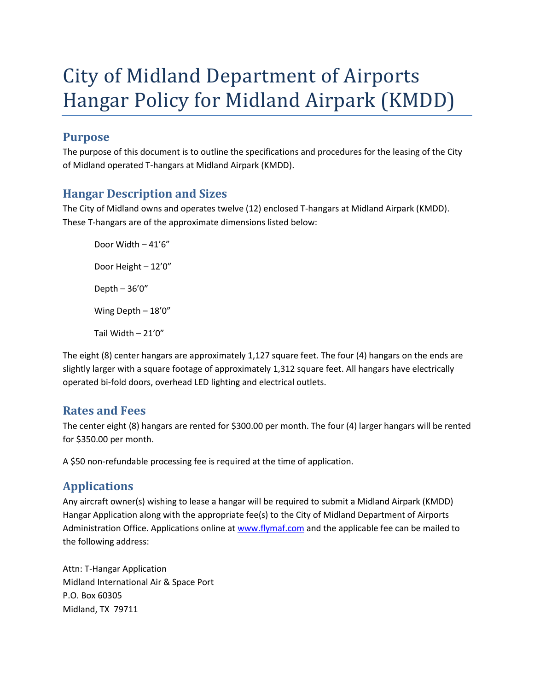# City of Midland Department of Airports Hangar Policy for Midland Airpark (KMDD)

#### **Purpose**

The purpose of this document is to outline the specifications and procedures for the leasing of the City of Midland operated T-hangars at Midland Airpark (KMDD).

#### **Hangar Description and Sizes**

The City of Midland owns and operates twelve (12) enclosed T-hangars at Midland Airpark (KMDD). These T-hangars are of the approximate dimensions listed below:

Door Width – 41'6" Door Height – 12'0" Depth – 36'0" Wing Depth – 18'0" Tail Width – 21'0"

The eight (8) center hangars are approximately 1,127 square feet. The four (4) hangars on the ends are slightly larger with a square footage of approximately 1,312 square feet. All hangars have electrically operated bi-fold doors, overhead LED lighting and electrical outlets.

#### **Rates and Fees**

The center eight (8) hangars are rented for \$300.00 per month. The four (4) larger hangars will be rented for \$350.00 per month.

A \$50 non-refundable processing fee is required at the time of application.

## **Applications**

Any aircraft owner(s) wishing to lease a hangar will be required to submit a Midland Airpark (KMDD) Hangar Application along with the appropriate fee(s) to the City of Midland Department of Airports Administration Office. Applications online at [www.flymaf.com](http://www.flymaf.com/) and the applicable fee can be mailed to the following address:

Attn: T-Hangar Application Midland International Air & Space Port P.O. Box 60305 Midland, TX 79711